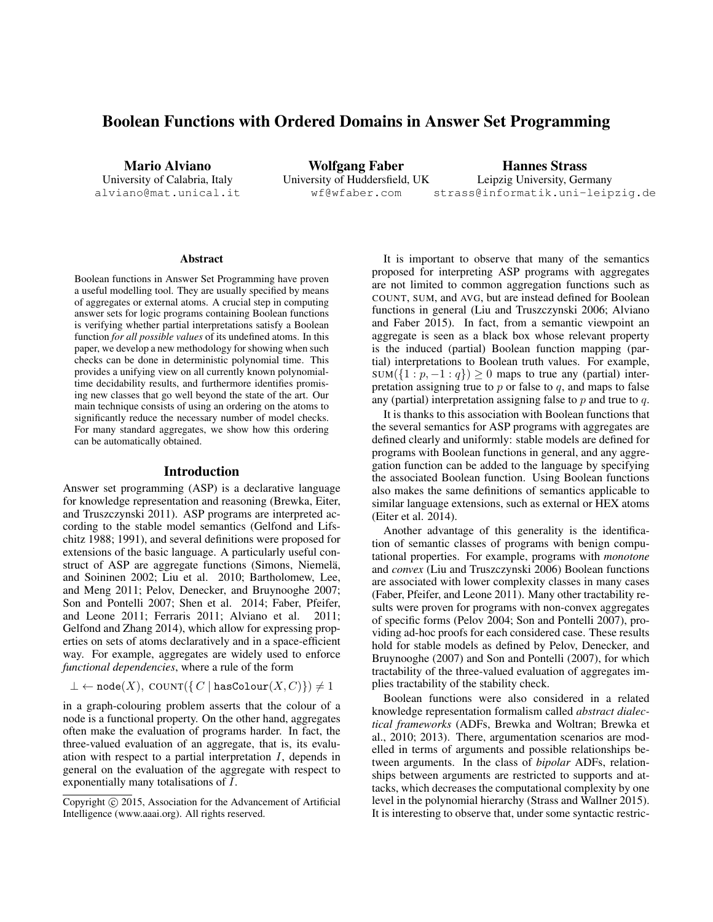# Boolean Functions with Ordered Domains in Answer Set Programming

Mario Alviano University of Calabria, Italy alviano@mat.unical.it

Wolfgang Faber University of Huddersfield, UK wf@wfaber.com

Hannes Strass Leipzig University, Germany strass@informatik.uni-leipzig.de

#### **Abstract**

Boolean functions in Answer Set Programming have proven a useful modelling tool. They are usually specified by means of aggregates or external atoms. A crucial step in computing answer sets for logic programs containing Boolean functions is verifying whether partial interpretations satisfy a Boolean function *for all possible values* of its undefined atoms. In this paper, we develop a new methodology for showing when such checks can be done in deterministic polynomial time. This provides a unifying view on all currently known polynomialtime decidability results, and furthermore identifies promising new classes that go well beyond the state of the art. Our main technique consists of using an ordering on the atoms to significantly reduce the necessary number of model checks. For many standard aggregates, we show how this ordering can be automatically obtained.

#### Introduction

Answer set programming (ASP) is a declarative language for knowledge representation and reasoning (Brewka, Eiter, and Truszczynski 2011). ASP programs are interpreted according to the stable model semantics (Gelfond and Lifschitz 1988; 1991), and several definitions were proposed for extensions of the basic language. A particularly useful construct of ASP are aggregate functions (Simons, Niemelä, and Soininen 2002; Liu et al. 2010; Bartholomew, Lee, and Meng 2011; Pelov, Denecker, and Bruynooghe 2007; Son and Pontelli 2007; Shen et al. 2014; Faber, Pfeifer, and Leone 2011; Ferraris 2011; Alviano et al. 2011; Gelfond and Zhang 2014), which allow for expressing properties on sets of atoms declaratively and in a space-efficient way. For example, aggregates are widely used to enforce *functional dependencies*, where a rule of the form

 $\bot \leftarrow \text{node}(X)$ , COUNT $({C | \text{hasColor}(X, C)} ) \neq 1$ 

in a graph-colouring problem asserts that the colour of a node is a functional property. On the other hand, aggregates often make the evaluation of programs harder. In fact, the three-valued evaluation of an aggregate, that is, its evaluation with respect to a partial interpretation  $I$ , depends in general on the evaluation of the aggregate with respect to exponentially many totalisations of I.

It is important to observe that many of the semantics proposed for interpreting ASP programs with aggregates are not limited to common aggregation functions such as COUNT, SUM, and AVG, but are instead defined for Boolean functions in general (Liu and Truszczynski 2006; Alviano and Faber 2015). In fact, from a semantic viewpoint an aggregate is seen as a black box whose relevant property is the induced (partial) Boolean function mapping (partial) interpretations to Boolean truth values. For example,  $SUM({1 : p, -1 : q}) > 0$  maps to true any (partial) interpretation assigning true to  $p$  or false to  $q$ , and maps to false any (partial) interpretation assigning false to  $p$  and true to  $q$ .

It is thanks to this association with Boolean functions that the several semantics for ASP programs with aggregates are defined clearly and uniformly: stable models are defined for programs with Boolean functions in general, and any aggregation function can be added to the language by specifying the associated Boolean function. Using Boolean functions also makes the same definitions of semantics applicable to similar language extensions, such as external or HEX atoms (Eiter et al. 2014).

Another advantage of this generality is the identification of semantic classes of programs with benign computational properties. For example, programs with *monotone* and *convex* (Liu and Truszczynski 2006) Boolean functions are associated with lower complexity classes in many cases (Faber, Pfeifer, and Leone 2011). Many other tractability results were proven for programs with non-convex aggregates of specific forms (Pelov 2004; Son and Pontelli 2007), providing ad-hoc proofs for each considered case. These results hold for stable models as defined by Pelov, Denecker, and Bruynooghe (2007) and Son and Pontelli (2007), for which tractability of the three-valued evaluation of aggregates implies tractability of the stability check.

Boolean functions were also considered in a related knowledge representation formalism called *abstract dialectical frameworks* (ADFs, Brewka and Woltran; Brewka et al., 2010; 2013). There, argumentation scenarios are modelled in terms of arguments and possible relationships between arguments. In the class of *bipolar* ADFs, relationships between arguments are restricted to supports and attacks, which decreases the computational complexity by one level in the polynomial hierarchy (Strass and Wallner 2015). It is interesting to observe that, under some syntactic restric-

Copyright (c) 2015, Association for the Advancement of Artificial Intelligence (www.aaai.org). All rights reserved.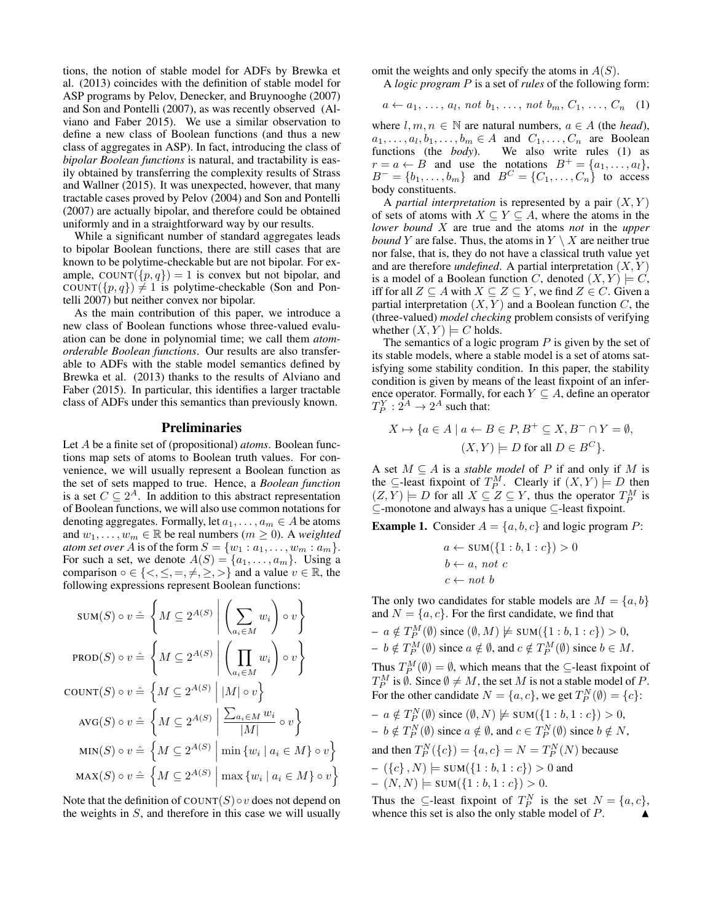tions, the notion of stable model for ADFs by Brewka et al. (2013) coincides with the definition of stable model for ASP programs by Pelov, Denecker, and Bruynooghe (2007) and Son and Pontelli (2007), as was recently observed (Alviano and Faber 2015). We use a similar observation to define a new class of Boolean functions (and thus a new class of aggregates in ASP). In fact, introducing the class of *bipolar Boolean functions* is natural, and tractability is easily obtained by transferring the complexity results of Strass and Wallner (2015). It was unexpected, however, that many tractable cases proved by Pelov (2004) and Son and Pontelli (2007) are actually bipolar, and therefore could be obtained uniformly and in a straightforward way by our results.

While a significant number of standard aggregates leads to bipolar Boolean functions, there are still cases that are known to be polytime-checkable but are not bipolar. For example, COUNT( $\{p, q\}$ ) = 1 is convex but not bipolar, and COUNT( $\{p,q\}$ )  $\neq$  1 is polytime-checkable (Son and Pontelli 2007) but neither convex nor bipolar.

As the main contribution of this paper, we introduce a new class of Boolean functions whose three-valued evaluation can be done in polynomial time; we call them *atomorderable Boolean functions*. Our results are also transferable to ADFs with the stable model semantics defined by Brewka et al. (2013) thanks to the results of Alviano and Faber (2015). In particular, this identifies a larger tractable class of ADFs under this semantics than previously known.

## Preliminaries

Let A be a finite set of (propositional) *atoms*. Boolean functions map sets of atoms to Boolean truth values. For convenience, we will usually represent a Boolean function as the set of sets mapped to true. Hence, a *Boolean function* is a set  $C \subseteq 2^A$ . In addition to this abstract representation of Boolean functions, we will also use common notations for denoting aggregates. Formally, let  $a_1, \ldots, a_m \in A$  be atoms and  $w_1, \ldots, w_m \in \mathbb{R}$  be real numbers ( $m \geq 0$ ). A *weighted atom set over* A is of the form  $S = \{w_1 : a_1, \ldots, w_m : a_m\}.$ For such a set, we denote  $A(S) = \{a_1, \ldots, a_m\}$ . Using a comparison  $\circ \in \{ \langle \xi, \xi, =, \neq, \geq, \rangle \}$  and a value  $v \in \mathbb{R}$ , the following expressions represent Boolean functions:

$$
SUM(S) \circ v \triangleq \left\{ M \subseteq 2^{A(S)} \middle| \left( \sum_{a_i \in M} w_i \right) \circ v \right\}
$$
  
\n
$$
PROD(S) \circ v \triangleq \left\{ M \subseteq 2^{A(S)} \middle| \left( \prod_{a_i \in M} w_i \right) \circ v \right\}
$$
  
\n
$$
COUNT(S) \circ v \triangleq \left\{ M \subseteq 2^{A(S)} \middle| |M| \circ v \right\}
$$
  
\n
$$
AVG(S) \circ v \triangleq \left\{ M \subseteq 2^{A(S)} \middle| \frac{\sum_{a_i \in M} w_i}{|M|} \circ v \right\}
$$
  
\n
$$
MIN(S) \circ v \triangleq \left\{ M \subseteq 2^{A(S)} \middle| \min \{w_i \mid a_i \in M\} \circ v \right\}
$$
  
\n
$$
MAX(S) \circ v \triangleq \left\{ M \subseteq 2^{A(S)} \middle| \max \{w_i \mid a_i \in M\} \circ v \right\}
$$

Note that the definition of  $COUNT(S) \circ v$  does not depend on the weights in  $S$ , and therefore in this case we will usually

omit the weights and only specify the atoms in  $A(S)$ .

A *logic program* P is a set of *rules* of the following form:

$$
a \leftarrow a_1, \ldots, a_l, \text{ not } b_1, \ldots, \text{ not } b_m, C_1, \ldots, C_n \quad (1)
$$

where  $l, m, n \in \mathbb{N}$  are natural numbers,  $a \in A$  (the *head*),  $a_1, \ldots, a_l, b_1, \ldots, b_m \in A$  and  $C_1, \ldots, C_n$  are Boolean functions (the *body*). We also write rules (1) as  $r = a \leftarrow B$  and use the notations  $B^+ = \{a_1, \ldots, a_l\},\$  $B^{-} = \{b_1, ..., b_m\}$  and  $B^{C} = \{C_1, ..., C_n\}$  to access body constituents.

A *partial interpretation* is represented by a pair  $(X, Y)$ of sets of atoms with  $X \subseteq Y \subseteq A$ , where the atoms in the *lower bound* X are true and the atoms *not* in the *upper bound* Y are false. Thus, the atoms in  $Y \setminus X$  are neither true nor false, that is, they do not have a classical truth value yet and are therefore *undefined*. A partial interpretation  $(X, Y)$ is a model of a Boolean function C, denoted  $(X, Y) \models C$ , iff for all  $Z \subseteq A$  with  $X \subseteq Z \subseteq Y$ , we find  $Z \in C$ . Given a partial interpretation  $(X, Y)$  and a Boolean function C, the (three-valued) *model checking* problem consists of verifying whether  $(X, Y) \models C$  holds.

The semantics of a logic program  $P$  is given by the set of its stable models, where a stable model is a set of atoms satisfying some stability condition. In this paper, the stability condition is given by means of the least fixpoint of an inference operator. Formally, for each  $Y \subseteq A$ , define an operator  $T_P^Y : 2^A \rightarrow 2^A$  such that:

$$
X \mapsto \{ a \in A \mid a \leftarrow B \in P, B^+ \subseteq X, B^- \cap Y = \emptyset, (X, Y) \models D \text{ for all } D \in B^C \}.
$$

A set  $M \subseteq A$  is a *stable model* of P if and only if M is the  $\subseteq$ -least fixpoint of  $T_P^M$ . Clearly if  $(X, Y) \models D$  then  $(Z, Y) \models D$  for all  $X \subseteq Z \subseteq Y$ , thus the operator  $T_P^M$  is ⊆-monotone and always has a unique ⊆-least fixpoint.

**Example 1.** Consider  $A = \{a, b, c\}$  and logic program P:

$$
a \leftarrow \text{SUM}(\{1:b, 1:c\}) > 0
$$
  

$$
b \leftarrow a, \text{ not } c
$$
  

$$
c \leftarrow \text{not } b
$$

The only two candidates for stable models are  $M = \{a, b\}$ and  $N = \{a, c\}$ . For the first candidate, we find that

 $- a \notin T_P^M(\emptyset)$  since  $(\emptyset, M) \not\models \text{SUM}(\{1 : b, 1 : c\}) > 0$ ,  $- b \notin T_P^M(\emptyset)$  since  $a \notin \emptyset$ , and  $c \notin T_P^M(\emptyset)$  since  $b \in M$ . Thus  $T_P^M(\emptyset) = \emptyset$ , which means that the ⊆-least fixpoint of  $T_P^M$  is  $\emptyset$ . Since  $\emptyset \neq M$ , the set M is not a stable model of P. For the other candidate  $N = \{a, c\}$ , we get  $T_P^N(\emptyset) = \{c\}$ :  $- a \notin T_P^N(\emptyset)$  since  $(\emptyset, N) \not\models \text{SUM}(\{1 : b, 1 : c\}) > 0$ ,  $- b \notin T_P^N(\emptyset)$  since  $a \notin \emptyset$ , and  $c \in T_P^N(\emptyset)$  since  $b \notin N$ , and then  $T_P^N(\{c\}) = \{a, c\} = N = T_P^N(N)$  because  $- (({c}, N) \models \texttt{SUM}({1 : b, 1 : c}) > 0$  and

$$
- (N, N) \models \text{SUM}(\{1 : b, 1 : c\}) > 0.
$$

Thus the  $\subseteq$ -least fixpoint of  $T_P^N$  is the set  $N = \{a, c\},\$ whence this set is also the only stable model of  $P$ .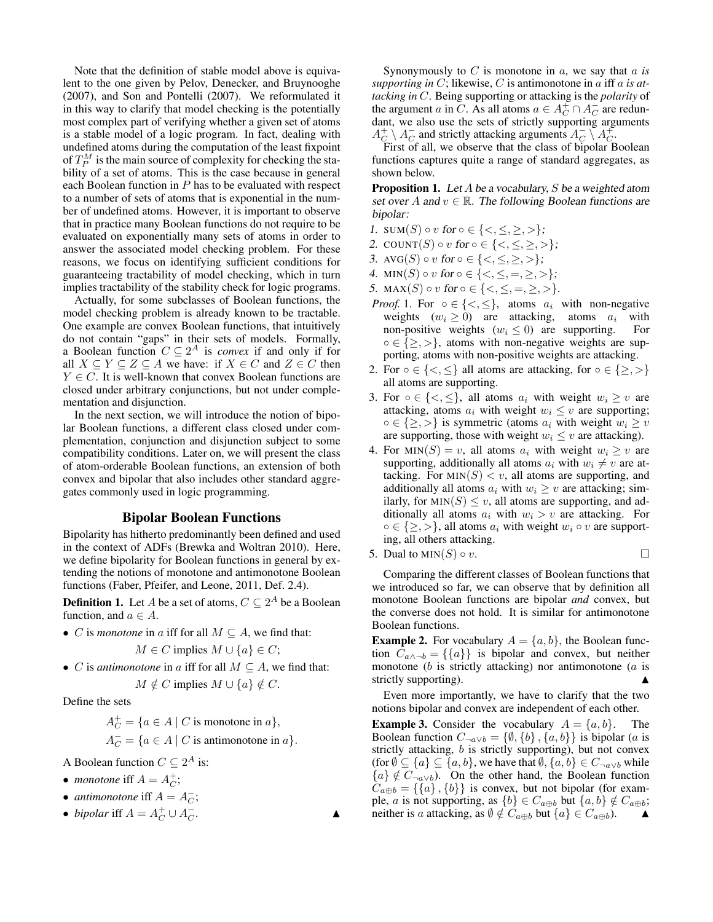Note that the definition of stable model above is equivalent to the one given by Pelov, Denecker, and Bruynooghe (2007), and Son and Pontelli (2007). We reformulated it in this way to clarify that model checking is the potentially most complex part of verifying whether a given set of atoms is a stable model of a logic program. In fact, dealing with undefined atoms during the computation of the least fixpoint of  $T_P^M$  is the main source of complexity for checking the stability of a set of atoms. This is the case because in general each Boolean function in  $P$  has to be evaluated with respect to a number of sets of atoms that is exponential in the number of undefined atoms. However, it is important to observe that in practice many Boolean functions do not require to be evaluated on exponentially many sets of atoms in order to answer the associated model checking problem. For these reasons, we focus on identifying sufficient conditions for guaranteeing tractability of model checking, which in turn implies tractability of the stability check for logic programs.

Actually, for some subclasses of Boolean functions, the model checking problem is already known to be tractable. One example are convex Boolean functions, that intuitively do not contain "gaps" in their sets of models. Formally, a Boolean function  $C \subseteq 2^A$  is *convex* if and only if for all  $X \subseteq Y \subseteq Z \subseteq A$  we have: if  $X \in C$  and  $Z \in C$  then  $Y \in C$ . It is well-known that convex Boolean functions are closed under arbitrary conjunctions, but not under complementation and disjunction.

In the next section, we will introduce the notion of bipolar Boolean functions, a different class closed under complementation, conjunction and disjunction subject to some compatibility conditions. Later on, we will present the class of atom-orderable Boolean functions, an extension of both convex and bipolar that also includes other standard aggregates commonly used in logic programming.

### Bipolar Boolean Functions

Bipolarity has hitherto predominantly been defined and used in the context of ADFs (Brewka and Woltran 2010). Here, we define bipolarity for Boolean functions in general by extending the notions of monotone and antimonotone Boolean functions (Faber, Pfeifer, and Leone, 2011, Def. 2.4).

**Definition 1.** Let A be a set of atoms,  $C \subseteq 2^A$  be a Boolean function, and  $a \in A$ .

• *C* is *monotone* in *a* iff for all  $M \subseteq A$ , we find that:

$$
M \in C \text{ implies } M \cup \{a\} \in C
$$

• *C* is *antimonotone* in *a* iff for all  $M \subseteq A$ , we find that:

 $M \notin C$  implies  $M \cup \{a\} \notin C$ .

Define the sets

 $A_C^+ = \{a \in A \mid C \text{ is monotone in } a\},\$  $A_C^- = \{a \in A \mid C \text{ is antimonotone in } a\}.$ 

A Boolean function  $C \subseteq 2^A$  is:

- *monotone* iff  $A = A_C^+$ ;
- *antimonotone* if  $A = A_C^-$ ;

• *bipolar* iff 
$$
A = A_C^+ \cup A_C^-
$$
.

Synonymously to C is monotone in a, we say that a *is supporting in* C; likewise, C is antimonotone in a iff a *is attacking in* C. Being supporting or attacking is the *polarity* of the argument a in C. As all atoms  $a \in A_C^+ \cap A_C^-$  are redundant, we also use the sets of strictly supporting arguments  $A_C^+ \setminus A_C^-$  and strictly attacking arguments  $A_C^- \setminus A_C^+$ .

First of all, we observe that the class of bipolar Boolean functions captures quite a range of standard aggregates, as shown below.

**Proposition 1.** Let  $A$  be a vocabulary,  $S$  be a weighted atom set over A and  $v \in \mathbb{R}$ . The following Boolean functions are bipolar:

- 1. SUM(S)  $\circ v$  for  $\circ \in \{ \leq, \leq, \geq, \geq \}$ ;
- 2. COUNT $(S) \circ v$  for  $\circ \in \{ \leq, \leq, \geq, \geq \}$ ;
- 3. AVG(S)  $\circ v$  for  $\circ \in \{ \leq, \leq, \geq, \geq \}$ ;
- 4. MIN $(S) \circ v$  for  $\circ \in \{ \leq, \leq, =, \geq, \geq \}$ ;
- 5. MAX $(S) \circ v$  for  $\circ \in \{ \leq, \leq, =, \geq, \geq \}.$
- *Proof.* 1. For  $\circ \in \{ \leq, \leq \},\$  atoms  $a_i$  with non-negative weights  $(w_i \geq 0)$  are attacking, atoms  $a_i$  with non-positive weights  $(w_i \leq 0)$  are supporting. For  $\circ \in \{\ge, >\}$ , atoms with non-negative weights are supporting, atoms with non-positive weights are attacking.
- 2. For  $\circ \in \{ \leq, \leq \}$  all atoms are attacking, for  $\circ \in \{ \geq, \geq \}$ all atoms are supporting.
- 3. For  $\circ \in \{ \leq, \leq \}$ , all atoms  $a_i$  with weight  $w_i \geq v$  are attacking, atoms  $a_i$  with weight  $w_i \leq v$  are supporting;  $\circ \in \{\ge, >\}$  is symmetric (atoms  $a_i$  with weight  $w_i \geq v$ are supporting, those with weight  $w_i \leq v$  are attacking).
- 4. For  $MIN(S) = v$ , all atoms  $a_i$  with weight  $w_i \geq v$  are supporting, additionally all atoms  $a_i$  with  $w_i \neq v$  are attacking. For  $MIN(S) < v$ , all atoms are supporting, and additionally all atoms  $a_i$  with  $w_i \geq v$  are attacking; similarly, for  $MIN(S) \leq v$ , all atoms are supporting, and additionally all atoms  $a_i$  with  $w_i > v$  are attacking. For  $\circ \in \{\geq, >\},$  all atoms  $a_i$  with weight  $w_i \circ v$  are supporting, all others attacking.
- 5. Dual to  $MIN(S) \circ v$ .

Comparing the different classes of Boolean functions that we introduced so far, we can observe that by definition all monotone Boolean functions are bipolar *and* convex, but the converse does not hold. It is similar for antimonotone Boolean functions.

**Example 2.** For vocabulary  $A = \{a, b\}$ , the Boolean function  $C_{a \wedge \neg b} = \{\{a\}\}\$ is bipolar and convex, but neither monotone ( $b$  is strictly attacking) nor antimonotone ( $a$  is strictly supporting).

Even more importantly, we have to clarify that the two notions bipolar and convex are independent of each other.

**Example 3.** Consider the vocabulary  $A = \{a, b\}$ . The Boolean function  $C_{\neg a \lor b} = \{\emptyset, \{b\}, \{a, b\}\}\$ is bipolar (a is strictly attacking, b is strictly supporting), but not convex (for  $\emptyset \subseteq \{a\} \subseteq \{a, b\}$ , we have that  $\emptyset$ ,  $\{a, b\} \in C_{\neg a \lor b}$  while  ${a} \notin C_{\neg a \lor b}$ . On the other hand, the Boolean function  $C_{a \oplus b} = \{\{a\}, \{b\}\}\$ is convex, but not bipolar (for example, *a* is not supporting, as  $\{b\} \in C_{a \oplus b}$  but  $\{a, b\} \notin C_{a \oplus b}$ ; neither is a attacking, as  $\emptyset \notin C_{a \oplus b}$  but  $\{a\} \in C_{a \oplus b}$ .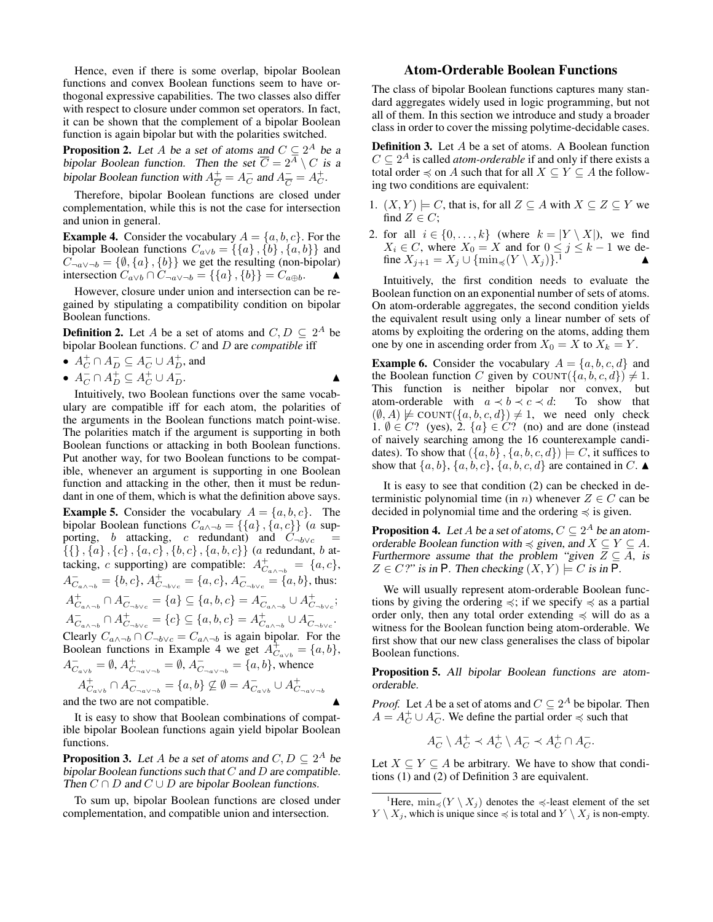Hence, even if there is some overlap, bipolar Boolean functions and convex Boolean functions seem to have orthogonal expressive capabilities. The two classes also differ with respect to closure under common set operators. In fact, it can be shown that the complement of a bipolar Boolean function is again bipolar but with the polarities switched.

**Proposition 2.** Let A be a set of atoms and  $C \subseteq 2^A$  be a bipolar Boolean function. Then the set  $\overline{C} = 2^{\overline{A}} \setminus C$  is a bipolar Boolean function with  $A_{\overline{G}}^+$  $\frac{+}{C} = A_C^-$  and  $A_C^ \frac{1}{C} = A_C^+$ .

Therefore, bipolar Boolean functions are closed under complementation, while this is not the case for intersection and union in general.

**Example 4.** Consider the vocabulary  $A = \{a, b, c\}$ . For the bipolar Boolean functions  $C_{a \vee b} = \{\{a\}, \{b\}, \{a, b\}\}\$ and  $C_{\neg a \lor \neg b} = \{\emptyset, \{a\}, \{b\}\}\$  we get the resulting (non-bipolar) intersection  $C_{a\vee b} \cap C_{\neg a\vee \neg b} = \{\{a\},\{b\}\} = C_{a\oplus b}$ .

However, closure under union and intersection can be regained by stipulating a compatibility condition on bipolar Boolean functions.

**Definition 2.** Let A be a set of atoms and  $C, D \subseteq 2^A$  be bipolar Boolean functions. C and D are *compatible* iff

• 
$$
A_C^+ \cap A_D^- \subseteq A_C^- \cup A_D^+
$$
, and

•  $A_C^- \cap A_D^+ \subseteq A_C^+ \cup A_D^ \overline{D}$ .

Intuitively, two Boolean functions over the same vocabulary are compatible iff for each atom, the polarities of the arguments in the Boolean functions match point-wise. The polarities match if the argument is supporting in both Boolean functions or attacking in both Boolean functions. Put another way, for two Boolean functions to be compatible, whenever an argument is supporting in one Boolean function and attacking in the other, then it must be redundant in one of them, which is what the definition above says.

**Example 5.** Consider the vocabulary  $A = \{a, b, c\}$ . The bipolar Boolean functions  $C_{a \wedge \neg b} = \{\{a\}, \{a, c\}\}\$  (a supporting, b attacking, c redundant) and  $C_{\neg b \lor c}$  =  $\{\{\}, \{a\}, \{c\}, \{a, c\}, \{b, c\}, \{a, b, c\}\}\$  (a redundant, b attacking, c supporting) are compatible:  $A_{C_{a\wedge b}}^{+} = \{a, c\},\$  $A_{C_{a\wedge b}}^- = \{b, c\}, A_{C_{-b\vee c}}^+ = \{a, c\}, A_{C_{-b\vee c}}^- = \{a, b\}$ , thus:  $A^+_{C_{a\wedge b}} \cap A^-_{C_{-b\vee c}} = \{a\} \subseteq \{a, b, c\} = A^-_{C_{a\wedge b}} \cup A^+_{C_{-b\vee c}};$  $A_{C_{a\wedge b} \circ b}^{-} \cap A_{C_{-b\vee c}}^{+} = \{c\} \subseteq \{a, b, c\} = A_{C_{a\wedge b} \circ b}^{+} \cup A_{C_{-b\vee c}}^{-}.$ Clearly  $C_{a\wedge\neg b} \cap C_{\neg b\vee c} = C_{a\wedge\neg b}$  is again bipolar. For the Boolean functions in Example 4 we get  $A_{C_{a\vee b}}^+ = \{a, b\},\$  $A_{C_{a\vee b}}^{-} = \emptyset, A_{C_{\neg a\vee \neg b}}^{+} = \emptyset, A_{C_{\neg a\vee \neg b}}^{-} = \{a, b\},\$  whence

$$
A^+_{C_{a\vee b}} \cap A^-_{C_{\neg a\vee \neg b}} = \{a, b\} \not\subseteq \emptyset = A^-_{C_{a\vee b}} \cup A^+_{C_{\neg a\vee \neg b}}
$$
  
and the two are not compatible.

It is easy to show that Boolean combinations of compatible bipolar Boolean functions again yield bipolar Boolean functions.

**Proposition 3.** Let A be a set of atoms and  $C, D \subseteq 2^A$  be bipolar Boolean functions such that  $C$  and  $D$  are compatible. Then  $C \cap D$  and  $C \cup D$  are bipolar Boolean functions.

To sum up, bipolar Boolean functions are closed under complementation, and compatible union and intersection.

### Atom-Orderable Boolean Functions

The class of bipolar Boolean functions captures many standard aggregates widely used in logic programming, but not all of them. In this section we introduce and study a broader class in order to cover the missing polytime-decidable cases.

Definition 3. Let A be a set of atoms. A Boolean function  $C \subseteq 2^A$  is called *atom-orderable* if and only if there exists a total order  $\preccurlyeq$  on A such that for all  $X \subseteq Y \subseteq A$  the following two conditions are equivalent:

- 1.  $(X, Y) \models C$ , that is, for all  $Z \subseteq A$  with  $X \subseteq Z \subseteq Y$  we find  $Z \in C$ ;
- 2. for all  $i \in \{0, \ldots, k\}$  (where  $k = |Y \setminus X|$ ), we find  $X_i \in C$ , where  $X_0 = X$  and for  $0 \le j \le k - 1$  we define  $X_{i+1} = X_i \cup \{\min_{i \in I} (Y \setminus X_i)\}\$ . fine  $X_{j+1} = X_j \cup \{\min_{\preccurlyeq} (Y \setminus X_j)\}.^1$

Intuitively, the first condition needs to evaluate the Boolean function on an exponential number of sets of atoms. On atom-orderable aggregates, the second condition yields the equivalent result using only a linear number of sets of atoms by exploiting the ordering on the atoms, adding them one by one in ascending order from  $X_0 = X$  to  $X_k = Y$ .

**Example 6.** Consider the vocabulary  $A = \{a, b, c, d\}$  and the Boolean function C given by COUNT $(\{a, b, c, d\}) \neq 1$ . This function is neither bipolar nor convex, but atom-orderable with  $a \prec b \prec c \prec d$ : To show that  $(\emptyset, A) \not\models \text{COUNT}(\{a, b, c, d\}) \neq 1$ , we need only check 1.  $\emptyset \in C$ ? (yes), 2.  $\{a\} \in C$ ? (no) and are done (instead of naively searching among the 16 counterexample candidates). To show that  $(\{a, b\}, \{a, b, c, d\}) \models C$ , it suffices to show that  $\{a, b\}$ ,  $\{a, b, c\}$ ,  $\{a, b, c, d\}$  are contained in C.  $\blacktriangle$ 

It is easy to see that condition (2) can be checked in deterministic polynomial time (in *n*) whenever  $Z \in C$  can be decided in polynomial time and the ordering  $\preccurlyeq$  is given.

**Proposition 4.** Let A be a set of atoms,  $C \subseteq 2^A$  be an atomorderable Boolean function with  $\preccurlyeq$  given, and  $X \subseteq Y \subseteq A$ . Furthermore assume that the problem "given  $Z \subseteq A$ , is  $Z \in C$ ?" is in P. Then checking  $(X, Y) \models C$  is in P.

We will usually represent atom-orderable Boolean functions by giving the ordering  $\preccurlyeq$ ; if we specify  $\preccurlyeq$  as a partial order only, then any total order extending  $\preccurlyeq$  will do as a witness for the Boolean function being atom-orderable. We first show that our new class generalises the class of bipolar Boolean functions.

Proposition 5. All bipolar Boolean functions are atomorderable.

*Proof.* Let A be a set of atoms and  $C \subseteq 2^A$  be bipolar. Then  $A = A_C^+ \cup A_C^-$ . We define the partial order  $\preccurlyeq$  such that

$$
A_C^-\setminus A_C^+\prec A_C^+\setminus A_C^-\prec A_C^+\cap A_C^-.
$$

Let  $X \subseteq Y \subseteq A$  be arbitrary. We have to show that conditions (1) and (2) of Definition 3 are equivalent.

<sup>&</sup>lt;sup>1</sup>Here,  $\min_{\preccurlyeq} (Y \setminus X_j)$  denotes the  $\preccurlyeq$ -least element of the set  $Y \setminus X_i$ , which is unique since  $\preccurlyeq$  is total and  $Y \setminus X_i$  is non-empty.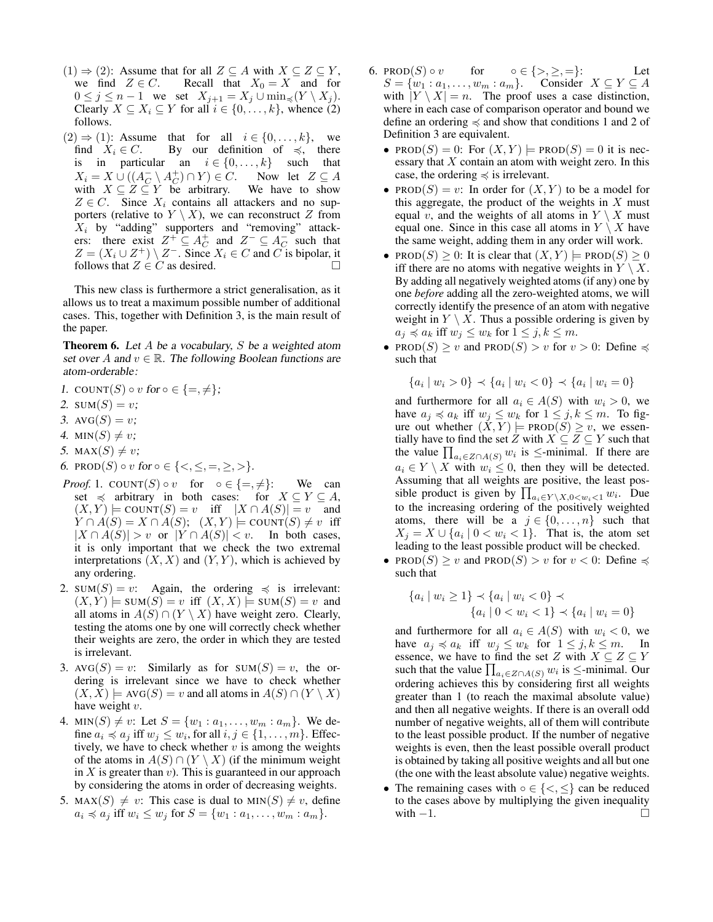- $(1) \Rightarrow (2)$ : Assume that for all  $Z \subseteq A$  with  $X \subseteq Z \subseteq Y$ , we find  $Z \in C$ . Recall that  $X_0 = X$  and for  $0 \leq j \leq n-1$  we set  $X_{j+1} = X_j \cup \min_{\preccurlyeq} (Y \setminus X_j).$ Clearly  $X \subseteq X_i \subseteq Y$  for all  $i \in \{0, \ldots, k\}$ , whence (2) follows.
- $(2) \Rightarrow (1)$ : Assume that for all  $i \in \{0, \ldots, k\}$ , we find  $X_i \in C$ . By our definition of  $\preccurlyeq$ , there is in particular an  $i \in \{0, \ldots, k\}$  such that  $X_i = X \cup ((A_C^-\setminus A_C^+) \cap Y) \in C.$  Now let  $Z \subseteq A$ with  $X \subseteq Z \subseteq Y$  be arbitrary. We have to show  $Z \in \mathbb{C}$ . Since  $X_i$  contains all attackers and no supporters (relative to  $Y \setminus X$ ), we can reconstruct Z from  $X_i$  by "adding" supporters and "removing" attackers: there exist  $Z^+ \subseteq A_C^+$  and  $Z^- \subseteq A_C^-$  such that  $Z = (X_i \cup Z^+) \setminus Z^-$ . Since  $X_i \in C$  and C is bipolar, it follows that  $Z \in C$  as desired.  $\square$

This new class is furthermore a strict generalisation, as it allows us to treat a maximum possible number of additional cases. This, together with Definition 3, is the main result of the paper.

**Theorem 6.** Let  $A$  be a vocabulary,  $S$  be a weighted atom set over A and  $v \in \mathbb{R}$ . The following Boolean functions are atom-orderable:

- 1. COUNT $(S) \circ v$  for  $\circ \in \{ =, \neq \}$ ;
- 2.  $SUM(S) = v;$
- 3. AVG $(S) = v$ ;
- 4. MIN $(S) \neq v;$
- 5. MAX $(S) \neq v;$
- 6. PROD(S)  $\circ v$  for  $\circ \in \{ \leq, \leq, =, \geq, \geq \}$ .
- *Proof.* 1. COUNT(S)  $\circ v$  for  $\circ \in \{ =, \neq \}$ : We can set  $\preccurlyeq$  arbitrary in both cases: for  $X \subseteq Y \subseteq A$ ,  $(X, Y) \models \text{COUNT}(S) = v$  iff  $|X \cap A(S)| = v$  and  $Y \cap A(S) = X \cap A(S);$   $(X,Y) \models \text{COUNT}(S) \neq v$  iff  $|X \cap A(S)| > v$  or  $|Y \cap A(S)| < v$ . In both cases, it is only important that we check the two extremal interpretations  $(X, X)$  and  $(Y, Y)$ , which is achieved by any ordering.
- 2. SUM(S) = v: Again, the ordering  $\preccurlyeq$  is irrelevant:  $(X, Y)$  = sum $(S) = v$  iff  $(X, X)$  = sum $(S) = v$  and all atoms in  $A(S) \cap (Y \setminus X)$  have weight zero. Clearly, testing the atoms one by one will correctly check whether their weights are zero, the order in which they are tested is irrelevant.
- 3. AVG(S) = v: Similarly as for  $SUM(S) = v$ , the ordering is irrelevant since we have to check whether  $(X, X) \models \text{AVG}(S) = v$  and all atoms in  $A(S) \cap (Y \setminus X)$ have weight  $v$ .
- 4. MIN(S)  $\neq v$ : Let  $S = \{w_1 : a_1, \dots, w_m : a_m\}$ . We define  $a_i \preccurlyeq a_j$  iff  $w_j \leq w_i$ , for all  $i, j \in \{1, \ldots, m\}$ . Effectively, we have to check whether  $v$  is among the weights of the atoms in  $A(S) \cap (Y \setminus X)$  (if the minimum weight in  $X$  is greater than  $v$ ). This is guaranteed in our approach by considering the atoms in order of decreasing weights.
- 5. MAX(S)  $\neq v$ : This case is dual to MIN(S)  $\neq v$ , define  $a_i \preccurlyeq a_j$  iff  $w_i \leq w_j$  for  $S = \{w_1 : a_1, \ldots, w_m : a_m\}.$
- 6. PROD(S)  $\circ v$  for  $\circ \in \{>, \geq, =\}$ : Let  $S = \{w_1 : a_1, \ldots, w_m : a_m\}.$  Consider  $X \subseteq Y \subseteq A$ with  $|Y \setminus X| = n$ . The proof uses a case distinction, where in each case of comparison operator and bound we define an ordering  $\preccurlyeq$  and show that conditions 1 and 2 of Definition 3 are equivalent.
	- PROD(S) = 0: For  $(X, Y)$   $\models$  PROD(S) = 0 it is necessary that  $X$  contain an atom with weight zero. In this case, the ordering  $\preccurlyeq$  is irrelevant.
	- PROD(S) = v: In order for  $(X, Y)$  to be a model for this aggregate, the product of the weights in  $X$  must equal  $\widetilde{v}$ , and the weights of all atoms in  $Y \setminus X$  must equal one. Since in this case all atoms in  $Y \setminus X$  have the same weight, adding them in any order will work.
	- PROD(S) > 0: It is clear that  $(X, Y)$   $\models$  PROD(S) > 0 iff there are no atoms with negative weights in  $Y \setminus X$ . By adding all negatively weighted atoms (if any) one by one *before* adding all the zero-weighted atoms, we will correctly identify the presence of an atom with negative weight in  $Y \setminus X$ . Thus a possible ordering is given by  $a_j \preccurlyeq a_k$  iff  $w_j \leq w_k$  for  $1 \leq j, k \leq m$ .
	- PROD $(S) \ge v$  and PROD $(S) > v$  for  $v > 0$ : Define  $\preccurlyeq$ such that

$$
\{a_i \mid w_i > 0\} \prec \{a_i \mid w_i < 0\} \prec \{a_i \mid w_i = 0\}
$$

and furthermore for all  $a_i \in A(S)$  with  $w_i > 0$ , we have  $a_j \preccurlyeq a_k$  iff  $w_j \le w_k$  for  $1 \le j, k \le m$ . To figure out whether  $(X, Y) \models \text{PROD}(S) \geq v$ , we essentially have to find the set Z with  $X \subseteq Z \subseteq Y$  such that the value  $\prod_{a_i \in Z \cap A(S)} w_i$  is  $\le$ -minimal. If there are  $a_i \in Y \setminus X$  with  $w_i \leq 0$ , then they will be detected. Assuming that all weights are positive, the least possible product is given by  $\prod_{a_i \in Y \backslash X, 0 \leq w_i < 1} w_i$ . Due to the increasing ordering of the positively weighted atoms, there will be a  $j \in \{0, ..., n\}$  such that  $X_j = X \cup \{a_i \mid 0 < w_i < 1\}.$  That is, the atom set leading to the least possible product will be checked.

• PROD(S)  $\geq v$  and PROD(S)  $> v$  for  $v < 0$ : Define  $\preccurlyeq$ such that

$$
\{a_i \mid w_i \ge 1\} \prec \{a_i \mid w_i < 0\} \prec
$$

$$
\{a_i \mid 0 < w_i < 1\} \prec \{a_i \mid w_i = 0\}
$$

and furthermore for all  $a_i \in A(S)$  with  $w_i < 0$ , we have  $a_j \preccurlyeq a_k$  iff  $w_j \le w_k$  for  $1 \le j, k \le m$ . In essence, we have to find the set Z with  $X \subseteq Z \subseteq Y$ such that the value  $\prod_{a_i \in Z \cap A(S)} w_i$  is  $\le$ -minimal. Our ordering achieves this by considering first all weights greater than 1 (to reach the maximal absolute value) and then all negative weights. If there is an overall odd number of negative weights, all of them will contribute to the least possible product. If the number of negative weights is even, then the least possible overall product is obtained by taking all positive weights and all but one (the one with the least absolute value) negative weights.

• The remaining cases with  $\circ \in \{ \leq, \leq \}$  can be reduced to the cases above by multiplying the given inequality with  $-1$ .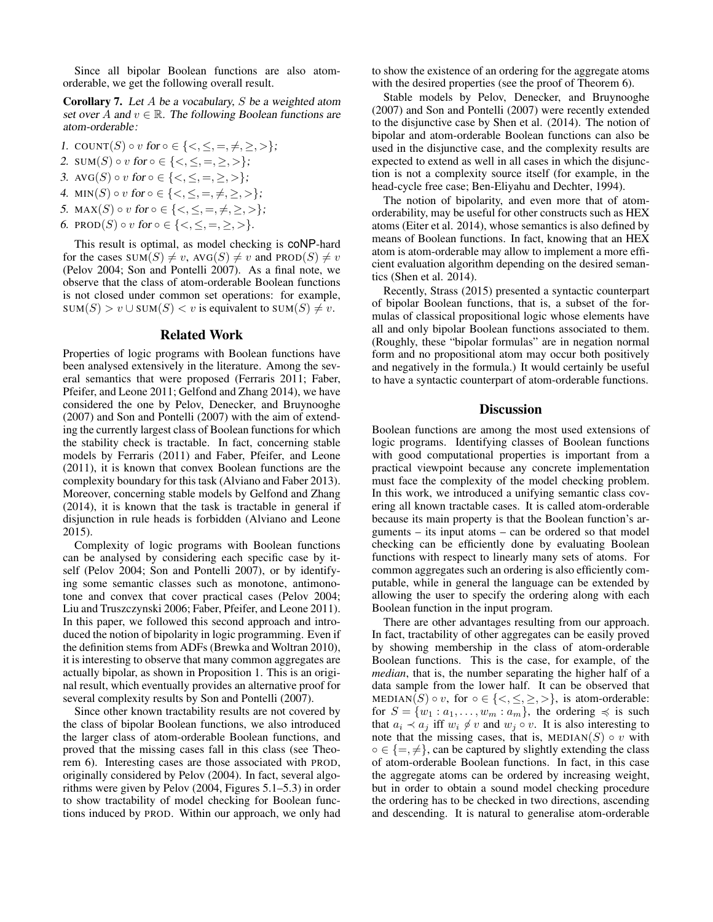Since all bipolar Boolean functions are also atomorderable, we get the following overall result.

**Corollary 7.** Let A be a vocabulary, S be a weighted atom set over A and  $v \in \mathbb{R}$ . The following Boolean functions are atom-orderable:

1. COUNT $(S) \circ v$  for  $\circ \in \{ \leq, \leq, =, \neq, \geq, \geq \};$ 2. SUM(S)  $\circ v$  for  $\circ \in \{ \leq, \leq, =, \geq, \geq \}$ ; 3. AVG(S)  $\circ v$  for  $\circ \in \{ \leq, \leq, =, \geq, \geq \}$ ; 4. MIN(S)  $\circ v$  for  $\circ \in \{ \leq, \leq, =, \neq, \geq, \geq \};$ 5. MAX $(S) \circ v$  for  $\circ \in \{ \leq, \leq, =, \neq, \geq, \geq \}$ ; 6. PROD(S)  $\circ v$  for  $\circ \in \{ \leq, \leq, =, \geq, \geq \}$ .

This result is optimal, as model checking is coNP-hard for the cases  $SUM(S) \neq v$ ,  $AVG(S) \neq v$  and  $PROD(S) \neq v$ (Pelov 2004; Son and Pontelli 2007). As a final note, we observe that the class of atom-orderable Boolean functions is not closed under common set operations: for example,  $\text{SUM}(S) > v \cup \text{SUM}(S) < v$  is equivalent to  $\text{SUM}(S) \neq v$ .

#### Related Work

Properties of logic programs with Boolean functions have been analysed extensively in the literature. Among the several semantics that were proposed (Ferraris 2011; Faber, Pfeifer, and Leone 2011; Gelfond and Zhang 2014), we have considered the one by Pelov, Denecker, and Bruynooghe (2007) and Son and Pontelli (2007) with the aim of extending the currently largest class of Boolean functions for which the stability check is tractable. In fact, concerning stable models by Ferraris (2011) and Faber, Pfeifer, and Leone (2011), it is known that convex Boolean functions are the complexity boundary for this task (Alviano and Faber 2013). Moreover, concerning stable models by Gelfond and Zhang (2014), it is known that the task is tractable in general if disjunction in rule heads is forbidden (Alviano and Leone 2015).

Complexity of logic programs with Boolean functions can be analysed by considering each specific case by itself (Pelov 2004; Son and Pontelli 2007), or by identifying some semantic classes such as monotone, antimonotone and convex that cover practical cases (Pelov 2004; Liu and Truszczynski 2006; Faber, Pfeifer, and Leone 2011). In this paper, we followed this second approach and introduced the notion of bipolarity in logic programming. Even if the definition stems from ADFs (Brewka and Woltran 2010), it is interesting to observe that many common aggregates are actually bipolar, as shown in Proposition 1. This is an original result, which eventually provides an alternative proof for several complexity results by Son and Pontelli (2007).

Since other known tractability results are not covered by the class of bipolar Boolean functions, we also introduced the larger class of atom-orderable Boolean functions, and proved that the missing cases fall in this class (see Theorem 6). Interesting cases are those associated with PROD, originally considered by Pelov (2004). In fact, several algorithms were given by Pelov (2004, Figures 5.1–5.3) in order to show tractability of model checking for Boolean functions induced by PROD. Within our approach, we only had

to show the existence of an ordering for the aggregate atoms with the desired properties (see the proof of Theorem 6).

Stable models by Pelov, Denecker, and Bruynooghe (2007) and Son and Pontelli (2007) were recently extended to the disjunctive case by Shen et al. (2014). The notion of bipolar and atom-orderable Boolean functions can also be used in the disjunctive case, and the complexity results are expected to extend as well in all cases in which the disjunction is not a complexity source itself (for example, in the head-cycle free case; Ben-Eliyahu and Dechter, 1994).

The notion of bipolarity, and even more that of atomorderability, may be useful for other constructs such as HEX atoms (Eiter et al. 2014), whose semantics is also defined by means of Boolean functions. In fact, knowing that an HEX atom is atom-orderable may allow to implement a more efficient evaluation algorithm depending on the desired semantics (Shen et al. 2014).

Recently, Strass (2015) presented a syntactic counterpart of bipolar Boolean functions, that is, a subset of the formulas of classical propositional logic whose elements have all and only bipolar Boolean functions associated to them. (Roughly, these "bipolar formulas" are in negation normal form and no propositional atom may occur both positively and negatively in the formula.) It would certainly be useful to have a syntactic counterpart of atom-orderable functions.

## **Discussion**

Boolean functions are among the most used extensions of logic programs. Identifying classes of Boolean functions with good computational properties is important from a practical viewpoint because any concrete implementation must face the complexity of the model checking problem. In this work, we introduced a unifying semantic class covering all known tractable cases. It is called atom-orderable because its main property is that the Boolean function's arguments – its input atoms – can be ordered so that model checking can be efficiently done by evaluating Boolean functions with respect to linearly many sets of atoms. For common aggregates such an ordering is also efficiently computable, while in general the language can be extended by allowing the user to specify the ordering along with each Boolean function in the input program.

There are other advantages resulting from our approach. In fact, tractability of other aggregates can be easily proved by showing membership in the class of atom-orderable Boolean functions. This is the case, for example, of the *median*, that is, the number separating the higher half of a data sample from the lower half. It can be observed that MEDIAN(S)  $\circ$  v, for  $\circ \in \{ \leq, \leq, \geq, \geq \}$ , is atom-orderable: for  $S = \{w_1 : a_1, \ldots, w_m : a_m\}$ , the ordering  $\preccurlyeq$  is such that  $a_i \prec a_j$  iff  $w_i \notin v$  and  $w_j \circ v$ . It is also interesting to note that the missing cases, that is, MEDIAN(S)  $\circ$  v with  $\circ \in \{ =, \neq \}$ , can be captured by slightly extending the class of atom-orderable Boolean functions. In fact, in this case the aggregate atoms can be ordered by increasing weight, but in order to obtain a sound model checking procedure the ordering has to be checked in two directions, ascending and descending. It is natural to generalise atom-orderable